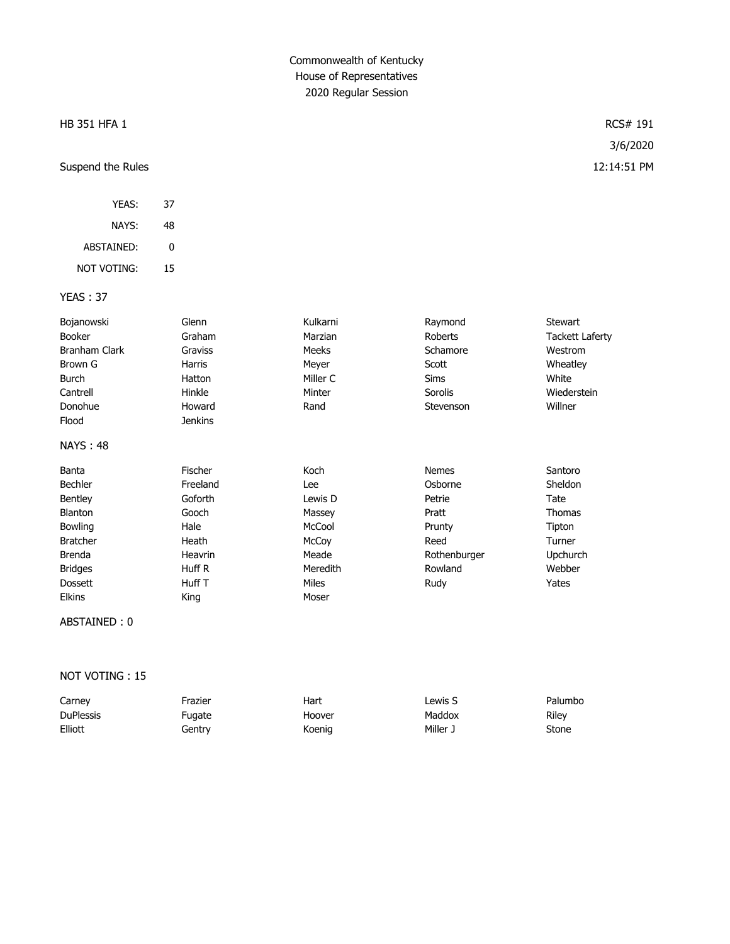#### HB 351 HFA 1 RCS# 191

## Suspend the Rules 12:14:51 PM

| YFAS:       | 37 |
|-------------|----|
| NAYS:       | 48 |
| ABSTAINED:  | U  |
| not voting: | 15 |

#### YEAS : 37

| Bojanowski           | Glenn          | Kulkarni     | Raymond      | <b>Stewart</b>         |
|----------------------|----------------|--------------|--------------|------------------------|
|                      |                |              |              |                        |
| <b>Booker</b>        | Graham         | Marzian      | Roberts      | <b>Tackett Laferty</b> |
| <b>Branham Clark</b> | Graviss        | Meeks        | Schamore     | Westrom                |
| Brown G              | Harris         | Meyer        | Scott        | Wheatley               |
| Burch                | Hatton         | Miller C     | <b>Sims</b>  | White                  |
| Cantrell             | Hinkle         | Minter       | Sorolis      | Wiederstein            |
| Donohue              | Howard         | Rand         | Stevenson    | Willner                |
| Flood                | <b>Jenkins</b> |              |              |                        |
| <b>NAYS: 48</b>      |                |              |              |                        |
| Banta                | <b>Fischer</b> | Koch         | <b>Nemes</b> | Santoro                |
| <b>Bechler</b>       | Freeland       | Lee          | Osborne      | Sheldon                |
| Bentley              | Goforth        | Lewis D      | Petrie       | Tate                   |
| <b>Blanton</b>       | Gooch          | Massey       | Pratt        | <b>Thomas</b>          |
| Bowling              | Hale           | McCool       | Prunty       | Tipton                 |
| <b>Bratcher</b>      | Heath          | McCoy        | Reed         | Turner                 |
| <b>Brenda</b>        | Heavrin        | Meade        | Rothenburger | Upchurch               |
| <b>Bridges</b>       | Huff R         | Meredith     | Rowland      | Webber                 |
| <b>Dossett</b>       | Huff T         | <b>Miles</b> | Rudy         | Yates                  |
| <b>Elkins</b>        | King           | Moser        |              |                        |

ABSTAINED : 0

#### NOT VOTING : 15

| Carney           | Frazier            | Hart   | Lewis S | Palumbo |
|------------------|--------------------|--------|---------|---------|
| <b>DuPlessis</b> | <sup>=</sup> uaate | Hoover | Maddox  | Rilev   |
| Elliott          | Gentrv             | Koenig | Miller: | Stone   |

3/6/2020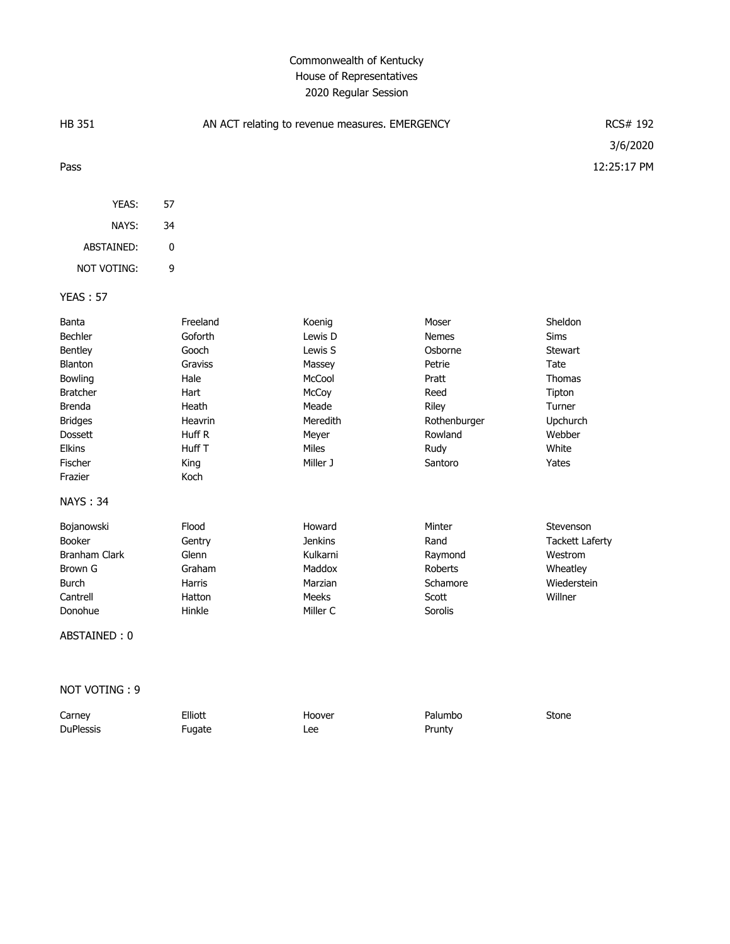| <b>HB 351</b>        |          | AN ACT relating to revenue measures. EMERGENCY |                | RCS# 192                |
|----------------------|----------|------------------------------------------------|----------------|-------------------------|
| Pass                 |          |                                                |                | 3/6/2020<br>12:25:17 PM |
| YEAS:                | 57       |                                                |                |                         |
| NAYS:                | 34       |                                                |                |                         |
| ABSTAINED:           | 0        |                                                |                |                         |
| <b>NOT VOTING:</b>   | 9        |                                                |                |                         |
| <b>YEAS: 57</b>      |          |                                                |                |                         |
| Banta                | Freeland | Koenig                                         | Moser          | Sheldon                 |
| Bechler              | Goforth  | Lewis D                                        | <b>Nemes</b>   | Sims                    |
| Bentley              | Gooch    | Lewis S                                        | Osborne        | <b>Stewart</b>          |
| Blanton              | Graviss  | Massey                                         | Petrie         | Tate                    |
| Bowling              | Hale     | McCool                                         | Pratt          | <b>Thomas</b>           |
| <b>Bratcher</b>      | Hart     | McCoy                                          | Reed           | Tipton                  |
| <b>Brenda</b>        | Heath    | Meade                                          | Riley          | Turner                  |
| <b>Bridges</b>       | Heavrin  | Meredith                                       | Rothenburger   | Upchurch                |
| Dossett              | Huff R   | Meyer                                          | Rowland        | Webber                  |
| Elkins               | Huff T   | Miles                                          | Rudy           | White                   |
| Fischer              | King     | Miller J                                       | Santoro        | Yates                   |
| Frazier              | Koch     |                                                |                |                         |
| <b>NAYS: 34</b>      |          |                                                |                |                         |
| Bojanowski           | Flood    | Howard                                         | Minter         | Stevenson               |
| Booker               | Gentry   | <b>Jenkins</b>                                 | Rand           | <b>Tackett Laferty</b>  |
| <b>Branham Clark</b> | Glenn    | Kulkarni                                       | Raymond        | Westrom                 |
| Brown G              | Graham   | Maddox                                         | <b>Roberts</b> | Wheatley                |
| <b>Burch</b>         | Harris   | Marzian                                        | Schamore       | Wiederstein             |
| Cantrell             | Hatton   | <b>Meeks</b>                                   | Scott          | Willner                 |
| Donohue              | Hinkle   | Miller C                                       | Sorolis        |                         |
| ABSTAINED: 0         |          |                                                |                |                         |

NOT VOTING : 9

| Carney           | Elliott | Hoover | Palumbo | Stone |
|------------------|---------|--------|---------|-------|
| <b>DuPlessis</b> | Fugate  | Lee    | Prunty  |       |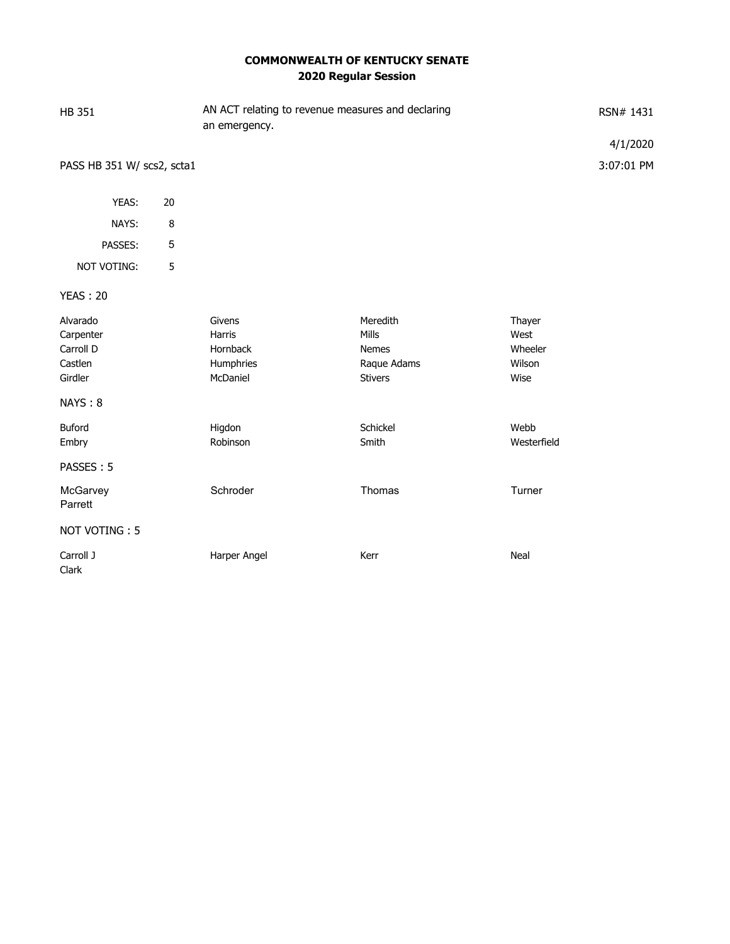## **COMMONWEALTH OF KENTUCKY SENATE 2020 Regular Session**

| <b>HB 351</b>                                            |        | AN ACT relating to revenue measures and declaring<br>an emergency. |                                                                    |                                             | RSN# 1431  |
|----------------------------------------------------------|--------|--------------------------------------------------------------------|--------------------------------------------------------------------|---------------------------------------------|------------|
|                                                          |        |                                                                    |                                                                    |                                             | 4/1/2020   |
| PASS HB 351 W/ scs2, scta1                               |        |                                                                    |                                                                    |                                             | 3:07:01 PM |
| YEAS:                                                    | 20     |                                                                    |                                                                    |                                             |            |
| NAYS:                                                    | $\, 8$ |                                                                    |                                                                    |                                             |            |
| PASSES:                                                  | 5      |                                                                    |                                                                    |                                             |            |
| NOT VOTING:                                              | 5      |                                                                    |                                                                    |                                             |            |
| <b>YEAS: 20</b>                                          |        |                                                                    |                                                                    |                                             |            |
| Alvarado<br>Carpenter<br>Carroll D<br>Castlen<br>Girdler |        | Givens<br><b>Harris</b><br>Hornback<br>Humphries<br>McDaniel       | Meredith<br><b>Mills</b><br>Nemes<br>Raque Adams<br><b>Stivers</b> | Thayer<br>West<br>Wheeler<br>Wilson<br>Wise |            |
| NAYS: 8                                                  |        |                                                                    |                                                                    |                                             |            |
| Buford<br>Embry                                          |        | Higdon<br>Robinson                                                 | Schickel<br>Smith                                                  | Webb<br>Westerfield                         |            |
| PASSES: 5                                                |        |                                                                    |                                                                    |                                             |            |
| McGarvey<br>Parrett                                      |        | Schroder                                                           | Thomas                                                             | Turner                                      |            |
| NOT VOTING: 5                                            |        |                                                                    |                                                                    |                                             |            |
| Carroll J<br>Clark                                       |        | Harper Angel                                                       | Kerr                                                               | Neal                                        |            |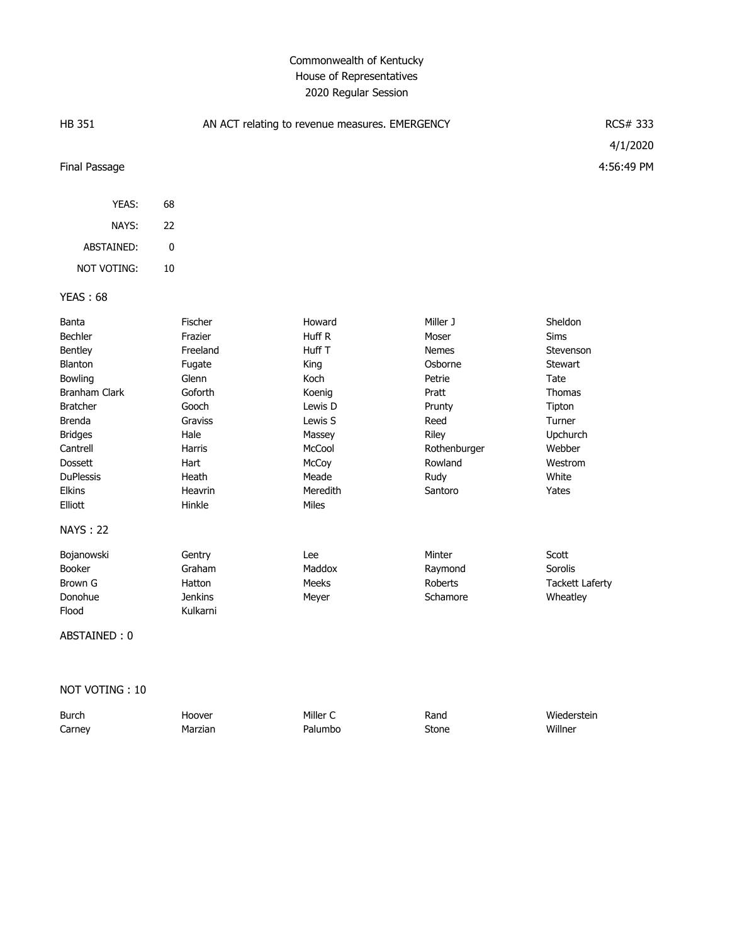| <b>HB 351</b>    |    |                | AN ACT relating to revenue measures. EMERGENCY |              | RCS# 333<br>4/1/2020   |
|------------------|----|----------------|------------------------------------------------|--------------|------------------------|
| Final Passage    |    |                |                                                |              | 4:56:49 PM             |
| YEAS:            | 68 |                |                                                |              |                        |
| NAYS:            | 22 |                |                                                |              |                        |
| ABSTAINED:       | 0  |                |                                                |              |                        |
| NOT VOTING:      | 10 |                |                                                |              |                        |
| <b>YEAS: 68</b>  |    |                |                                                |              |                        |
| Banta            |    | Fischer        | Howard                                         | Miller J     | Sheldon                |
| Bechler          |    | Frazier        | Huff R                                         | Moser        | Sims                   |
| Bentley          |    | Freeland       | Huff T                                         | <b>Nemes</b> | Stevenson              |
| <b>Blanton</b>   |    | Fugate         | King                                           | Osborne      | <b>Stewart</b>         |
| Bowling          |    | Glenn          | Koch                                           | Petrie       | Tate                   |
| Branham Clark    |    | Goforth        | Koenig                                         | Pratt        | <b>Thomas</b>          |
| <b>Bratcher</b>  |    | Gooch          | Lewis D                                        | Prunty       | Tipton                 |
| Brenda           |    | Graviss        | Lewis S                                        | Reed         | Turner                 |
| <b>Bridges</b>   |    | Hale           | Massey                                         | Riley        | Upchurch               |
| Cantrell         |    | Harris         | McCool                                         | Rothenburger | Webber                 |
| <b>Dossett</b>   |    | Hart           | McCoy                                          | Rowland      | Westrom                |
| <b>DuPlessis</b> |    | Heath          | Meade                                          | Rudy         | White                  |
| Elkins           |    | Heavrin        | Meredith                                       | Santoro      | Yates                  |
| Elliott          |    | Hinkle         | Miles                                          |              |                        |
| <b>NAYS: 22</b>  |    |                |                                                |              |                        |
| Bojanowski       |    | Gentry         | Lee                                            | Minter       | Scott                  |
| Booker           |    | Graham         | Maddox                                         | Raymond      | Sorolis                |
| <b>Brown G</b>   |    | Hatton         | Meeks                                          | Roberts      | <b>Tackett Laferty</b> |
| Donohue          |    | <b>Jenkins</b> | Meyer                                          | Schamore     | Wheatley               |
| Flood            |    | Kulkarni       |                                                |              |                        |
| ABSTAINED: 0     |    |                |                                                |              |                        |
|                  |    |                |                                                |              |                        |

NOT VOTING : 10

| <b>Burch</b> | Hoover  | Miller C | Rand  | Wiederstein |
|--------------|---------|----------|-------|-------------|
| Carney       | Marzian | Palumbo  | Stone | Willner     |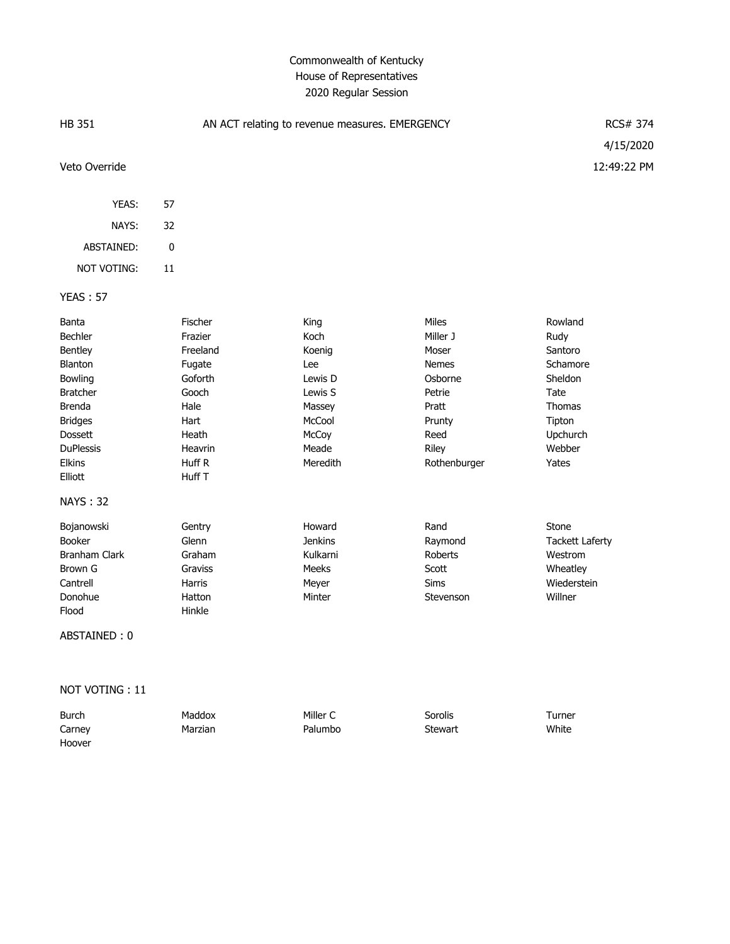| <b>HB 351</b>                                                                                                                                                                  |                                                                                                                      | AN ACT relating to revenue measures. EMERGENCY                                                        |                                                                                                                     | <b>RCS# 374</b>                                                                                              |
|--------------------------------------------------------------------------------------------------------------------------------------------------------------------------------|----------------------------------------------------------------------------------------------------------------------|-------------------------------------------------------------------------------------------------------|---------------------------------------------------------------------------------------------------------------------|--------------------------------------------------------------------------------------------------------------|
|                                                                                                                                                                                |                                                                                                                      |                                                                                                       |                                                                                                                     | 4/15/2020                                                                                                    |
| Veto Override                                                                                                                                                                  |                                                                                                                      |                                                                                                       |                                                                                                                     | 12:49:22 PM                                                                                                  |
| YEAS:                                                                                                                                                                          | 57                                                                                                                   |                                                                                                       |                                                                                                                     |                                                                                                              |
| NAYS:                                                                                                                                                                          | 32                                                                                                                   |                                                                                                       |                                                                                                                     |                                                                                                              |
| ABSTAINED:                                                                                                                                                                     | $\pmb{0}$                                                                                                            |                                                                                                       |                                                                                                                     |                                                                                                              |
| NOT VOTING:                                                                                                                                                                    | 11                                                                                                                   |                                                                                                       |                                                                                                                     |                                                                                                              |
| <b>YEAS: 57</b>                                                                                                                                                                |                                                                                                                      |                                                                                                       |                                                                                                                     |                                                                                                              |
| Banta<br>Bechler<br>Bentley<br>Blanton<br>Bowling<br><b>Bratcher</b><br><b>Brenda</b><br><b>Bridges</b><br>Dossett<br><b>DuPlessis</b><br>Elkins<br>Elliott<br><b>NAYS: 32</b> | Fischer<br>Frazier<br>Freeland<br>Fugate<br>Goforth<br>Gooch<br>Hale<br>Hart<br>Heath<br>Heavrin<br>Huff R<br>Huff T | King<br>Koch<br>Koenig<br>Lee<br>Lewis D<br>Lewis S<br>Massey<br>McCool<br>McCoy<br>Meade<br>Meredith | Miles<br>Miller J<br>Moser<br><b>Nemes</b><br>Osborne<br>Petrie<br>Pratt<br>Prunty<br>Reed<br>Riley<br>Rothenburger | Rowland<br>Rudy<br>Santoro<br>Schamore<br>Sheldon<br>Tate<br>Thomas<br>Tipton<br>Upchurch<br>Webber<br>Yates |
| Bojanowski<br>Booker<br><b>Branham Clark</b><br>Brown G<br>Cantrell<br>Donohue<br>Flood<br>ABSTAINED: 0                                                                        | Gentry<br>Glenn<br>Graham<br>Graviss<br>Harris<br>Hatton<br>Hinkle                                                   | Howard<br><b>Jenkins</b><br>Kulkarni<br>Meeks<br>Meyer<br>Minter                                      | Rand<br>Raymond<br>Roberts<br>Scott<br>Sims<br>Stevenson                                                            | Stone<br><b>Tackett Laferty</b><br>Westrom<br>Wheatley<br>Wiederstein<br>Willner                             |

NOT VOTING : 11

| Burch  | Maddox  | Miller C | Sorolis        | Turner |
|--------|---------|----------|----------------|--------|
| Carney | Marzian | Palumbo  | <b>Stewart</b> | White  |
| Hoover |         |          |                |        |